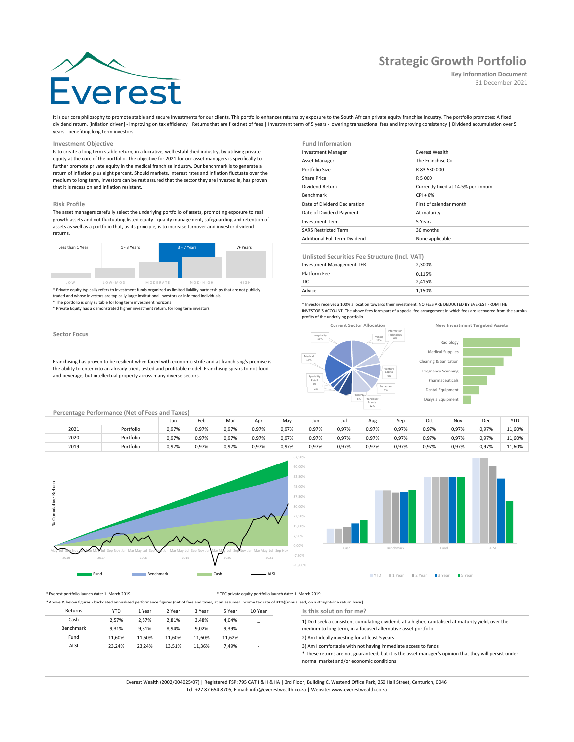# **Strategic Growth Portfolio**

**Key Information Document** 31 December 2021

It is our core philosophy to promote stable and secure investments for our clients. This portfolio enhances returns by exposure to the South African private equity franchise industry. The portfolio promotes: A fixed dividend return, [inflation driven] - improving on tax efficiency | Returns that are fixed net of fees | Investment term of 5 years - lowering transactional fees and improving consistency | Dividend accumulation over 5 years - benefiting long term investors.

## **Investment Objective**

Is to create a long term stable return, in a lucrative, well established industry, by utilising private equity at the core of the portfolio. The objective for 2021 for our asset managers is specifically to further promote private equity in the medical franchise industry. Our benchmark is to generate a return of inflation plus eight percent. Should markets, interest rates and inflation fluctuate over the medium to long term, investors can be rest assured that the sector they are invested in, has proven that it is recession and inflation resistant.

#### **Risk Profile**

The asset managers carefully select the underlying portfolio of assets, promoting exposure to real growth assets and not fluctuating listed equity - quality management, safeguarding and retention of assets as well as a portfolio that, as its principle, is to increase turnover and investor dividend returns.



\* Private equity typically refers to investment funds organized as limited liability partnerships that are not publicly traded and whose investors are typically large institutional investors or informed individuals. \* The portfolio is only suitable for long term investment horizons

\* Private Equity has a demonstrated higher investment return, for long term investors

## **Sector Focus**

Franchising has proven to be resilient when faced with economic strife and at franchising's premise is the ability to enter into an already tried, tested and profitable model. Franchisng speaks to not food and beverage, but intellectual property across many diverse sectors.

| <b>Fund Information</b>      |                                    |
|------------------------------|------------------------------------|
| <b>Investment Manager</b>    | <b>Fverest Wealth</b>              |
| Asset Manager                | The Franchise Co.                  |
| Portfolio Size               | R 83 530 000                       |
| Share Price                  | R 5 000                            |
| Dividend Return              | Currently fixed at 14.5% per annum |
| <b>Benchmark</b>             | $CPI + 8%$                         |
|                              |                                    |
| Date of Dividend Declaration | First of calendar month            |
| Date of Dividend Payment     | At maturity                        |
| <b>Investment Term</b>       | 5 Years                            |
| <b>SARS Restricted Term</b>  | 36 months                          |

**Unlisted Securities Fee Structure (Incl. VAT)**

| Investment Management TER | 2.300% |
|---------------------------|--------|
| Platform Fee              | 0.115% |
| <b>TIC</b>                | 2.415% |
| Advice                    | 1.150% |

\* Investor receives a 100% allocation towards their investment. NO FEES ARE DEDUCTED BY EVEREST FROM THE INVESTOR'S ACCOUNT. The above fees form part of a special fee arrangement in which fees are recovered from the surplus profits of the underlying portfolio.



Dental Equipment rmaceuticals regnancy Scanning Cleaning & Sanitation Medical Supplies Radiology

Dialysis Equipment

| Percentage Performance (Net of Fees and Taxes) |  |  |
|------------------------------------------------|--|--|
|                                                |  |  |

|                       |           | Jar   | Feb   | Mar   | Apr   | Mav   | Jun   | Jul   | Aug   | Sep   | Oct   | Nov   | Dec   | <b>YTD</b> |
|-----------------------|-----------|-------|-------|-------|-------|-------|-------|-------|-------|-------|-------|-------|-------|------------|
| 2021                  | Portfolio | 0,97% | 0,97% | 0,97% | 0,97% | 0,97% | 0,97% | 0,97% | 0,97% | 0,97% | 0,97% | 0,97% | 0,97% | 11,60%     |
| 2020<br>$\sim$ $\sim$ | Portfolio | 0,97% | 0,97% | 0,97% | 0,97% | 0,97% | 0,97% | 0,97% | 0,97% | 0,97% | 0,97% | 0,97% | 0,97% | 11,60%     |
| 2019                  | Portfolio | 0.97% | 0,97% | 0,97% | 0,97% | 0,97% | 0.97% | 0.97% | 0,97% | 0,97% | 0.97% | 0.97% | 0.97% | 11.60%     |





#### \* Everest portfolio launch date: 1 March 2019 \* TFC private equity portfolio launch date: 1 March 2019

|           | * Above & below figures - backdated annualised performance figures (net of fees and taxes, at an assumed income tax rate of 31%)[annualised, on a straight-line return basis] |        |        |        |        |                          |                                                                                                                                                    |  |  |  |  |
|-----------|-------------------------------------------------------------------------------------------------------------------------------------------------------------------------------|--------|--------|--------|--------|--------------------------|----------------------------------------------------------------------------------------------------------------------------------------------------|--|--|--|--|
| Returns   | <b>YTD</b>                                                                                                                                                                    | 1 Year | 2 Year | 3 Year | 5 Year | 10 Year                  | Is this solution for me?                                                                                                                           |  |  |  |  |
| Cash      | 2.57%                                                                                                                                                                         | 2.57%  | 2,81%  | 3,48%  | 4,04%  | $\sim$                   | 1) Do I seek a consistent cumulating dividend, at a higher, capitalised at maturity yield, over the                                                |  |  |  |  |
| Benchmark | 9.31%                                                                                                                                                                         | 9.31%  | 8.94%  | 9.02%  | 9,39%  | -                        | medium to long term, in a focused alternative asset portfolio                                                                                      |  |  |  |  |
| Fund      | 11.60%                                                                                                                                                                        | 11.60% | 11.60% | 11.60% | 11.62% | -                        | 2) Am I ideally investing for at least 5 years                                                                                                     |  |  |  |  |
| ALSI      | 23.24%                                                                                                                                                                        | 23.24% | 13.51% | 11,36% | 7,49%  | $\overline{\phantom{a}}$ | 3) Am I comfortable with not having immediate access to funds                                                                                      |  |  |  |  |
|           |                                                                                                                                                                               |        |        |        |        |                          | * These returns are not guaranteed, but it is the asset manager's opinion that they will persist under<br>normal market and/or economic conditions |  |  |  |  |

Everest Wealth (2002/004025/07) | Registered FSP: 795 CAT I & II & IIA | 3rd Floor, Building C, Westend Office Park, 250 Hall Street, Centurion, 0046

Tel: +27 87 654 8705, E-mail: info@everestwealth.co.za | Website: www.everestwealth.co.za